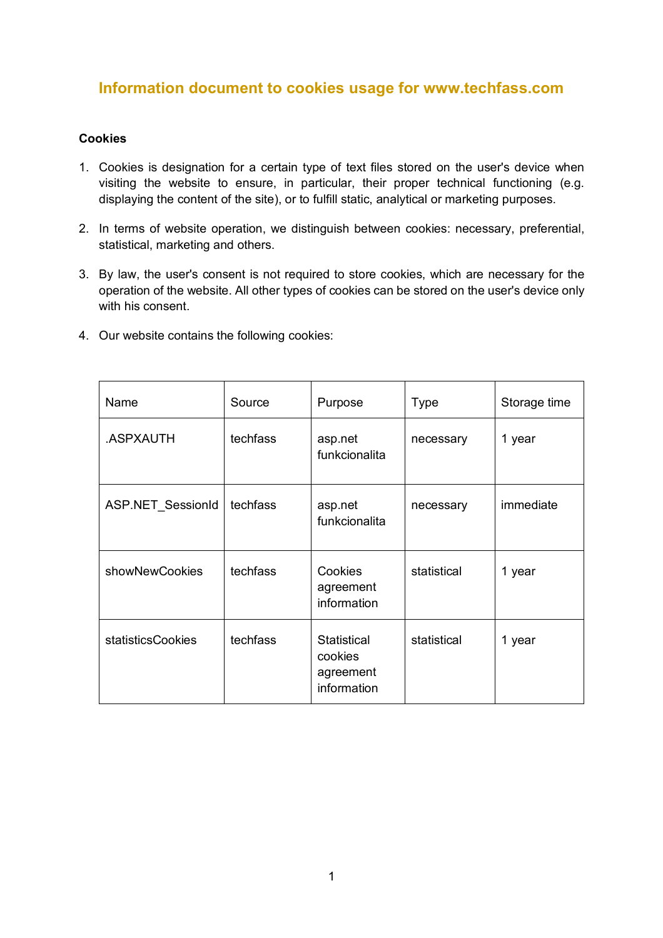## **Information document to cookies usage for www.techfass.com**

## **Cookies**

- 1. Cookies is designation for a certain type of text files stored on the user's device when visiting the website to ensure, in particular, their proper technical functioning (e.g. displaying the content of the site), or to fulfill static, analytical or marketing purposes.
- 2. In terms of website operation, we distinguish between cookies: necessary, preferential, statistical, marketing and others.
- 3. By law, the user's consent is not required to store cookies, which are necessary for the operation of the website. All other types of cookies can be stored on the user's device only with his consent.
- 4. Our website contains the following cookies:

| Name                     | Source   | Purpose                                                   | <b>Type</b> | Storage time |
|--------------------------|----------|-----------------------------------------------------------|-------------|--------------|
| .ASPXAUTH                | techfass | asp.net<br>funkcionalita                                  | necessary   | 1 year       |
| <b>ASP.NET SessionId</b> | techfass | asp.net<br>funkcionalita                                  | necessary   | immediate    |
| showNewCookies           | techfass | Cookies<br>agreement<br>information                       | statistical | 1 year       |
| <b>statisticsCookies</b> | techfass | <b>Statistical</b><br>cookies<br>agreement<br>information | statistical | 1 year       |